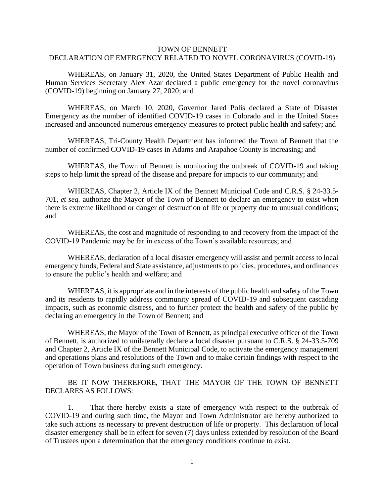## TOWN OF BENNETT DECLARATION OF EMERGENCY RELATED TO NOVEL CORONAVIRUS (COVID-19)

WHEREAS, on January 31, 2020, the United States Department of Public Health and Human Services Secretary Alex Azar declared a public emergency for the novel coronavirus (COVID-19) beginning on January 27, 2020; and

WHEREAS, on March 10, 2020, Governor Jared Polis declared a State of Disaster Emergency as the number of identified COVID-19 cases in Colorado and in the United States increased and announced numerous emergency measures to protect public health and safety; and

WHEREAS, Tri-County Health Department has informed the Town of Bennett that the number of confirmed COVID-19 cases in Adams and Arapahoe County is increasing; and

WHEREAS, the Town of Bennett is monitoring the outbreak of COVID-19 and taking steps to help limit the spread of the disease and prepare for impacts to our community; and

WHEREAS, Chapter 2, Article IX of the Bennett Municipal Code and C.R.S. § 24-33.5- 701, *et seq.* authorize the Mayor of the Town of Bennett to declare an emergency to exist when there is extreme likelihood or danger of destruction of life or property due to unusual conditions; and

WHEREAS, the cost and magnitude of responding to and recovery from the impact of the COVID-19 Pandemic may be far in excess of the Town's available resources; and

WHEREAS, declaration of a local disaster emergency will assist and permit access to local emergency funds, Federal and State assistance, adjustments to policies, procedures, and ordinances to ensure the public's health and welfare; and

WHEREAS, it is appropriate and in the interests of the public health and safety of the Town and its residents to rapidly address community spread of COVID-19 and subsequent cascading impacts, such as economic distress, and to further protect the health and safety of the public by declaring an emergency in the Town of Bennett; and

WHEREAS, the Mayor of the Town of Bennett, as principal executive officer of the Town of Bennett, is authorized to unilaterally declare a local disaster pursuant to C.R.S. § 24-33.5-709 and Chapter 2, Article IX of the Bennett Municipal Code, to activate the emergency management and operations plans and resolutions of the Town and to make certain findings with respect to the operation of Town business during such emergency.

BE IT NOW THEREFORE, THAT THE MAYOR OF THE TOWN OF BENNETT DECLARES AS FOLLOWS:

1. That there hereby exists a state of emergency with respect to the outbreak of COVID-19 and during such time, the Mayor and Town Administrator are hereby authorized to take such actions as necessary to prevent destruction of life or property. This declaration of local disaster emergency shall be in effect for seven (7) days unless extended by resolution of the Board of Trustees upon a determination that the emergency conditions continue to exist.